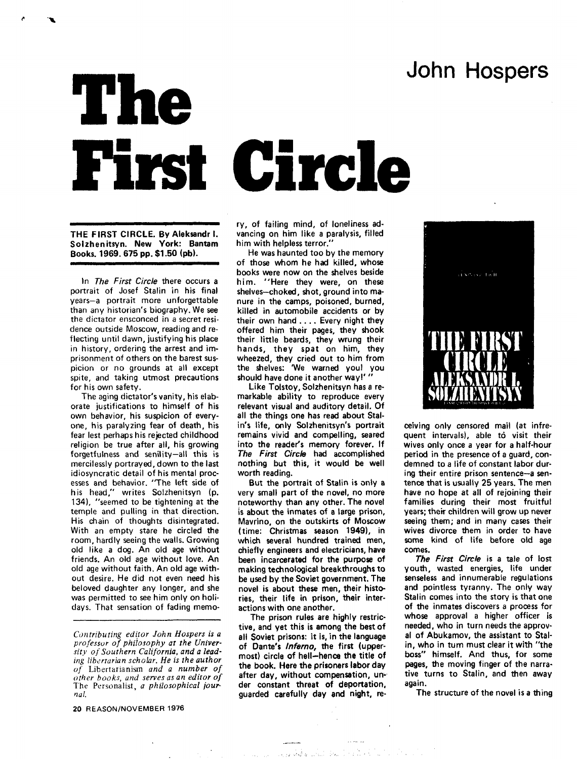## **The set of the set of the set of the set of the set of the set of the set of the set of the set of the set of the set of the set of the set of the set of the set of the set of the set of the set of the set of the set of t First Circle**

## THE FIRST CIRCLE. By Aleksandr I. Solzhenitsyn. New York: Bantam Books. 1969. 675 pp. \$1.50 (pb).

In *The First Circle* there occurs a portrait of Josef Stalin in his final years-a portrait more unforgettable than any historian's biography. We see the dictator ensconced in a secret resi· dence outside Moscow, reading and reflecting until dawn, justifying his place in history, ordering the arrest and im· prisonment of others on the barest suspicion or no grounds at all except spite, and taking utmost precautions for his own safety.

The aging dictator's vanity, his elaborate justifications to himself of his own behavior, his suspicion of everyone, his paralyzing fear of death, his fear lest perhaps his rejected childhood religion be true after all, his growing forgetfulness and senility-all this is mercilessly portrayed, down to the last idiosyncratic detail of his mental processes and behavior. "The left side of his head," writes Solzhenitsyn (p. 134), "seemed to be tightening at the temple and pulling in that direction. His chain of thoughts disintegrated. With an empty stare he circled the room, hardly seeing the walls. Growing old like a dog. An old age without friends. An old age without love. An old age without faith. An old age without desire. He did not even need his beloved daughter any longer, and she was permitted to see him only on holidays. That sensation of fading memo-

*Contributing editor John Hospers is a professor of phiiosophy at the University of Southern California, and a lead*ing *libatarian scholar. He is the author uf* Libertarianism *and a number of other books, and serves as an editor of*  The Personalist, *a philosophical journal.* 

20 REASON/NOVEMBER 1976

ry, of failing mind, of loneliness advancing on him like a paralysis, filled him with helpless terror."

He was haunted too by the memory of those whom he had killed, whose books were now on the shelves beside him. "Here they were, on these shelves-choked, shot, ground into manure in the camps, poisoned, burned, killed in automobile accidents or by their own hand .... Every night they offered him their pages, they shook their little beards, they wrung their hands, they spat on him, they wheezed, they cried out to him from the shelves: 'We warned youl you should have done it another way!' "

Like Tolstoy, Solzhenitsyn has *a* remarkable ability to reproduce every relevant visual and auditory detail. Of all the things one has read about Stalin's life, only Solzhenitsyn's portrait remains vivid and compelling, seared into the reader's memory forever. If *The First Circle* had accomplished nothing but this, it would be well worth reading.

But the portrait of Stalin is only a very small part of the novel, no more noteworthy than any other. The novel is about the inmates of a large prison, Mavrino, on the outskirts of Moscow (time: Christmas season 1949), in which several hundred trained men, chiefly engineers and electricians, have been incarcerated for the purpose of making technological breakthroughs to be used by the Soviet government. The novel is about these men, their histories, their life in prison, their interactions with one another.

The prison rules are highly restric· tive, and yet this is among the best of all Soviet prisons: it is, in the language of Dante's Inferno, the first (uppermost) circle of hell-hence the title of the book. Here the prisoners labor day after day, without compensation, un•· der constant threat of deportation, guarded carefully day and night, re-



ceiving only censored mail (at infrequent intervals), able to visit their wives only once a year for a half-hour period in the presence of a guard, condemned to a life of constant labor during their entire prison sentence-a sentence that is usually 25 years. The men have no hope at all of rejoining their families during their most fruitful years; their children will grow up never seeing them; and in many cases their wives divorce them in order to have some kind of life before old age comes.

*The First Circle* is a tale of lost youth, wasted energies, life under senseless and innumerable regulations and pointless tyranny. The only way Stalin comes into the story is that one of the inmates discovers a process for whose approval a higher officer is needed, who in turn needs the approval of Abukamov, the assistant to Stalin, who in tum must clear it with "the boss" himself. And thus, for some pages, the moving finger of the narra· tive turns to Stalin, and then away again.

The structure of the novel is a thing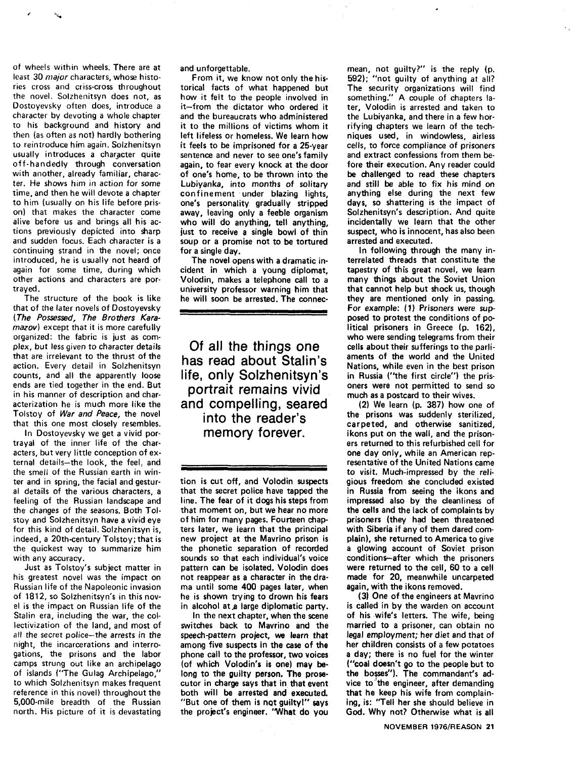of wheels within wheels. There are at least 30 major characters, whose histories cross and criss-cross throughout the novel. Solzhenitsyn does not, as Dostoyevsky often does, introduce a character by devoting a whole chapter to his background and history and then (as often as not) hardly bothering to reintroduce him again. Solzhenitsyn usually introduces a character quite off-handedly through conversation with another, already familiar, character. He shows him in action for some time, and then he will devote a chapter to him (usually on his life before prison) that makes the character come alive before us and brings all his actions previously depicted into sharp and sudden focus. Each character is a continuing strand in the novel; once introduced, he is usually not heard of again for some time, during which other actions and characters are portrayed.

The structure of the book is like that of the later novels of Dostoyevsky (The Possessed, The Brothers Karamazov) except that it is more carefully organized: the fabric is just as complex, but less given to character details that are irrelevant to the thrust of the action. Every detail in Solzhenitsyn counts, and all the apparently loose ends are tied together in the end. But in his manner of description and characterization he is much more like the Tolstoy of War and Peace, the novel that this one most closely resembles.

In Dostoyevsky we get a vivid portrayal of the inner life of the characters, but very little conception of external details-the look, the feel, and the smell of the Russian earth in winter and in spring, the facial and gestural details of the various characters, a feeling of the Russian landscape and the changes of the seasons. Both Tolstoy and Solzhenitsyn have a vivid eye for this kind of detail. Solzhenitsyn is, indeed, a 20th-century Tolstoy; that is the quickest way to summarize him with any accuracy.

Just as Tolstoy's subject matter in his greatest novel was the impact on Russian life of the Napoleonic invasion of 1812, so Solzhenitsyn's in this novel is the impact on Russian life of the Stalin era, including the war, the collectivization of the land, and most of all the secret police-the arrests in the night, the incarcerations and interrogations, the prisons and the labor camps strung out like an archipelago of islands ("The Gulag Archipelago,'' to which Solzhenitsyn makes frequent reference in this novel) throughout the 5,000-mile breadth of the Russian north. His picture of it is devastating and unforgettable.

From it, we know not only the historical facts of what happened but how it felt to the people involved in it-from the dictator who ordered it and the bureaucrats who administered it to the millions of victims whom it left lifeless or homeless. We learn how it feels to be imprisoned for a 25-year sentence and never to see one's family again, to fear every knock at the door of one's home, to be thrown into the Lubiyanka, into months of solitary confinement under blazing lights, one's personality gradually stripped away, leaving only a feeble organism who will do anything, tell anything, just to receive a single bowl of thin soup or a promise not to be tortured for a single day.

The novel opens with a dramatic incident in which a young diplomat, Volodin, makes a telephone call to a university professor warning him that he will soon be arrested. The connec-

Of all the things one has read about Stalin's life, only Solzhenitsyn's portrait remains vivid and compelling, seared into the reader's memory forever.

tion is cut off, and Volodin suspects that the secret police have tapped the line. The fear of it dogs his steps from that moment on, but we hear no more of him for many pages. Fourteen chapters later, we learn that the principal new project at the Mavrino prison is the phonetic separation of recorded sounds so that each individual's voice pattern can be isolated. Volodin does not reappear as a character in the drama until some 400 pages later, when he is shown trying to drown his fears in alcohol *at.a* large diplomatic party.

In the next chapter, when the scene switches back to Mavrino and the speech-pattern project, we learn that among five suspects in the case of the phone call to the professor, two voices (of which Volodin's is one) may belong to the guilty person. The prosecutor in charge says that in that event both will be arrested and executed. "But one of them is not guiltyl" says the project's engineer. "What do you

mean, not guilty?" is the reply (p. 592); "not guilty of anything at all? The security organizations will find something." A couple of chapters later, Volodin is arrested and taken to the Lubiyanka, and there in a few hor· rifying chapters we learn of the techniques used, in windowless, airless cells, to force compliance of prisoners and extract confessions from them before their execution. Any reader could be challenged to read these chapters and still be able to fix his mind on anything else during the next few days, so shattering is the impact of Solzhenitsyn's description. And quite incidentally we learn that the other suspect, who is innocent, has also been arrested and executed.

In following through the many interrelated threads that constitute the tapestry of this great novel, we learn many things about the Soviet Union that cannot help but shock us, though they are mentioned only in passing. For example: (1) Prisoners were supposed to protest the conditions of political prisoners in Greece (p. 162). who were sending telegrams from their cells about their sufferings to the parliaments of the world and the United Nations, while even in the best prison in Russia ("the first circle") the prisoners were not permitted to send so much as a postcard to their wives.

(2) We learn (p. 387) how one of the prisons was suddenly sterilized, carpeted, and otherwise sanitized, ikons put on the wall, and the prisoners returned to this refurbished cell for one day only, while an American representative of the United Nations came to visit. Much-impressed by the religious freedom she concluded existed in Russia from seeing the ikons and impressed also by the cleanliness of the cells and the lack of complaints by prisoners (they had been threatened with Siberia if any of them dared complain), she returned to America to give a glowing account of Soviet prison conditions-after which the prisoners were returned to the cell, 60 to a cell made for 20, meanwhile uncarpeted again, with the ikons removed.

(3) One of the engineers at Mavrino is called in by the warden on account of his wife's letters. The wife, being married to a prisoner, can obtain no legal employment; her diet and that of her children consists of a few potatoes a day; there is no fuel for the winter ("coal doesn't go to the people but to the bosses"). The commandant's advice to the engineer, after demanding that he keep his wife from complaining, is: "Tell her she should believe in God. Why not? Otherwise what is all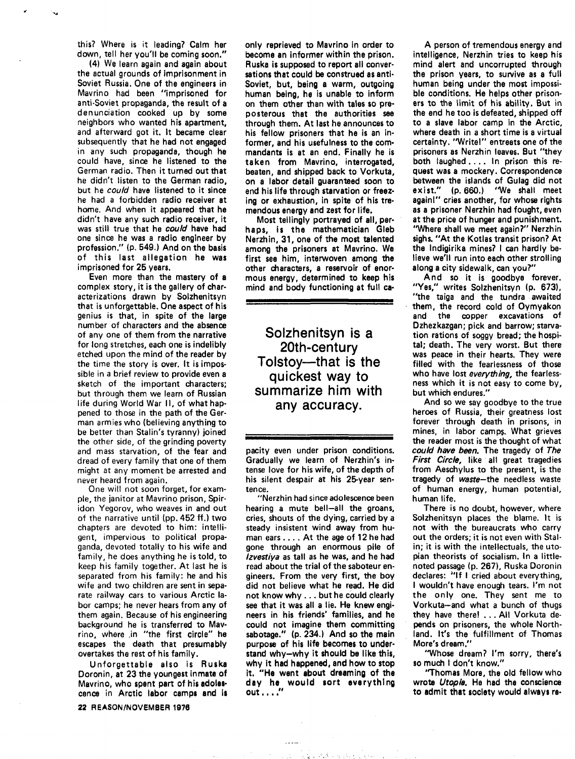this? Where is it leading? Calm her down, tell her you'll be coming soon."

(4) We learn again and again about the actual grounds of imprisonment in Soviet Russia. One of the engineers in Mavrino had been "imprisoned for anti-Soviet propaganda, the result of a denunciation cooked up by some neighbors who wanted his apartment, and afterward got it. It became clear subsequently that he had not engaged in any such propaganda, though he could have, since he listened to the German radio. Then it turned out that he didn't listen to the German radio, but he could have listened to it since he had a forbidden radio receiver at home. And when it appeared that he didn't have any such radio receiver, it was still true that he could have had one since he was a radio engineer by profession." (p. 549.) And on the basis of this last allegation he was imprisoned for 25 years.

Even more than the mastery of a complex story, it is the gallery of characterizations drawn by Solzhenitsyn that is unforgettable. One aspect of his genius is that, in spite of the large number of characters and the absence of any one of them from the narrative for long stretches, each one is indelibly etched upon the mind of the reader by the time the story is over. It is impossible in a brief review to provide even a sketch of the important characters; but through them we learn of Russian life during World War II, of what happened to those in the path of the German armies who (believing anything to be better than Stalin's tyranny) joined the other side, of the grinding poverty and mass starvation, of the fear and dread of every family that one of them might at any moment be arrested and never heard from again.

One will not soon forget, for example, the janitor at Mavrino prison, Spiridon Yegorov, who weaves in and out of the narrative until (pp. 452 ff.) two chapters are devoted to him: intelligent, impervious to political propaganda, devoted totally to his wife and family, he does anything he is told, to keep his family together. At last he is separated from his family: he and his wife and two children are sent in separate railway cars to various Arctic labor camps; he never hears from any of them again. Because of his engineering background he is transferred to Mavrino, where .in "the first circle" he escapes the death that presumably overtakes the rest of his family.

Unforgettable also is Ruska Doronin, at 23 the youngest inmate of Mavrino, who spent part of his adolescence in Arctic labor camps and Is

22 REASON/NOVEMBER 1978

only reprieved to Mavrino in order to become an Informer within the prison. Ruska is supposed to report all conversations that could be construed as anti· Soviet, but, being a warm, outgoing human being, he is unable to inform on them other than with tales so pre· posterous that the authorities see through them. At last he announces to his fellow prisoners that he is an in· former, and his usefulness to the commandants is at an end. Finally he is taken from Mavrino, interrogated, beaten, and shipped back to Vorkuta, on a labor detail guaranteed soon to end his life through starvation or freezing or exhaustion, in spite of his tremendous energy and zest for life.

Most tellingly portrayed of all, per· haps, is the mathematician Gleb Nerzhin, 31, one of the most talented among the prisoners at Mavrino. We first see him, interwoven among the other characters, a reservoir of enormous energy, determined to keep his mind and body functioning at full ca-

Solzhenitsyn is a 20th-century Tolstoy—that is the quickest way to summarize him with any accuracy.

pacity even under prison conditions. Gradually we learn of Nerzhin's intense love for his wife, of the depth of his silent despair at his 25-year sentence.

"Nerzhin had since adolescence been hearing a mute bell-all the groans, cries, shouts of the dying, carried by a steady insistent wind away from human ears .... At the age of 12 he had gone through an enormous pile of lzvestiya as tall as he was, and he had read about the trial of the saboteur engineers. From the very first, the boy did not believe what he read. He did not know why ... but he could clearly see that it was all a lie. He knew engineers in his friends' families, and he could not imagine them committing sabotage."  $(p, 234)$  And so the main purpose of his life becomes to under· stand why-why it should be like this, why it had happened, and how to stop it. "He went about dreaming of the day he would aort everything out,,.,"

バスステッド バットル

A person of tremendous energy and intelligence, Nerzhin tries to keep his mind alert and uncorrupted through the prison years, to survive as a full human being under the most impossible conditions. He helps other prisoners to the limit of his ability. But in the end he too is defeated, shipped off to a slave labor camp in the Arctic, where death in a short time is a virtual certainty. "Write!" entreats one of the prisoners as Nerzhin leaves. But "they both laughed .... In prison this request was a mockery. Correspondence between the islands of Gulag did not exist." (p. 660.) "We shall meet again!" cries another, for whose rights as a prisoner Nerzhin had fought, even at the price of hunger and punishment. "Where shall we meet again?" Nerzhin sighs. "At the Kotlas transit prison? At the lndigirika mines? I can hardly believe we'll run into each other strolling along a city sidewalk, can you?"

And so it is goodbye forever. "Yes," writes Solzhenitsyn (p. 673), "the taiga and the tundra awaited them, the record cold of Oymyakon and the copper excavations of Dzhezkazgan; pick and barrow; starvation rations of soggy bread; the hospi· tal; death. The very worst. But there was peace in their hearts. They were filled with the fearlessness of those who have lost everything, the fearlessness which it is not easy to come by, but which endures."

And so we say goodbye to the true heroes of Russia, their greatness lost forever through death in prisons, in mines, in labor camps. What grieves the reader most is the thought of what could have been. The tragedy of The First Circle, like all great tragedies from Aeschylus to the present, is the tragedy of waste-the needless waste of human energy, human potential, human life.

There is no doubt, however, where Solzhenitsyn places the blame. It is not with the bureaucrats who carry out the orders; it is not even with Stalin; it is with the intellectuals, the utopian theorists of socialism. In a littlenoted passage (p. 267), Ruska Doronin declares: ''If I cried about everything, I wouldn't have enough tears. I'm not the only one. They sent me to Vorkuta-and what a bunch of thugs they have there! ... All Vorkuta depends on prisoners, the whole Northland. It's the fulfillment of Thomas More's dream."

"Whose dream? I'm sorry, there's so much I don't know."

"Thomas More, the old fellow who wrote *Utopls.* He had the conscience to admit that society would always re-